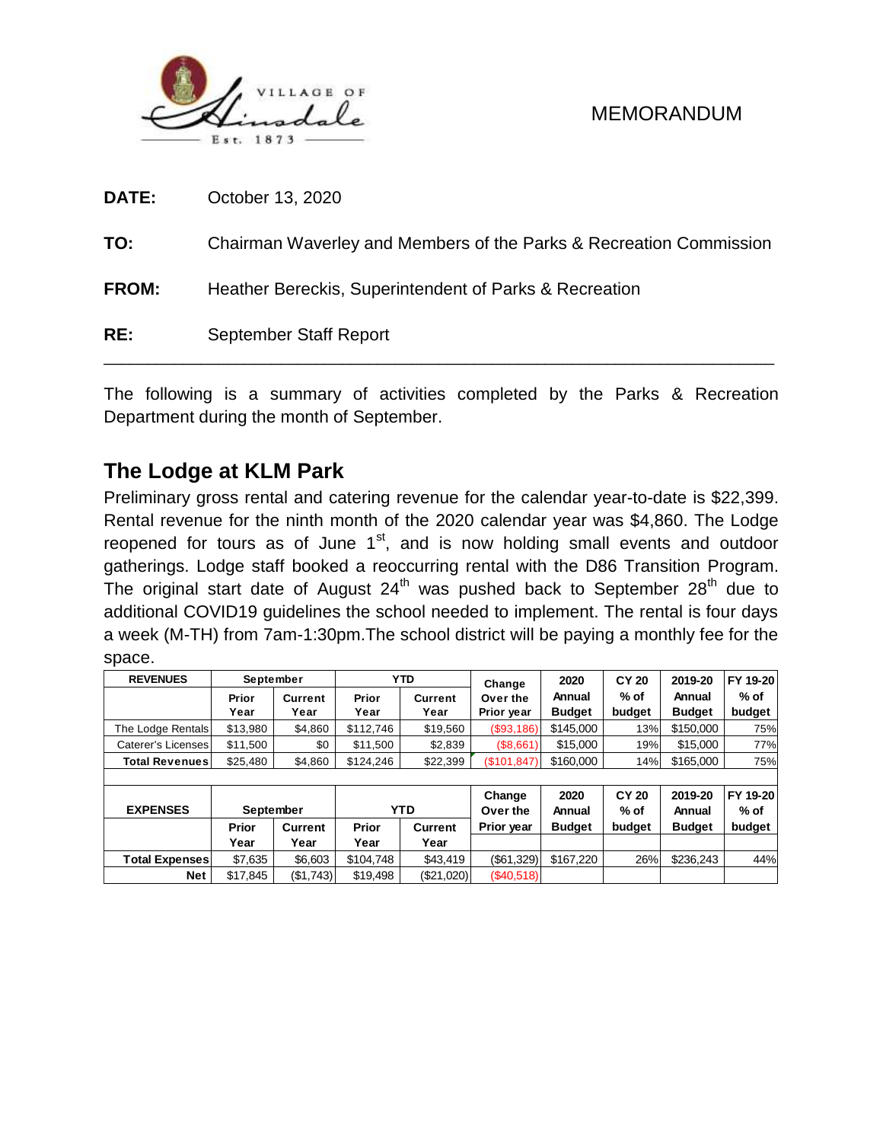

| DATE:        | October 13, 2020                                                   |
|--------------|--------------------------------------------------------------------|
| TO:          | Chairman Waverley and Members of the Parks & Recreation Commission |
| <b>FROM:</b> | Heather Bereckis, Superintendent of Parks & Recreation             |
| RE:          | September Staff Report                                             |

The following is a summary of activities completed by the Parks & Recreation Department during the month of September.

# **The Lodge at KLM Park**

Preliminary gross rental and catering revenue for the calendar year-to-date is \$22,399. Rental revenue for the ninth month of the 2020 calendar year was \$4,860. The Lodge reopened for tours as of June  $1<sup>st</sup>$ , and is now holding small events and outdoor gatherings. Lodge staff booked a reoccurring rental with the D86 Transition Program. The original start date of August  $24<sup>th</sup>$  was pushed back to September  $28<sup>th</sup>$  due to additional COVID19 guidelines the school needed to implement. The rental is four days a week (M-TH) from 7am-1:30pm.The school district will be paying a monthly fee for the space.

| <b>REVENUES</b>       | September       |                        |               | <b>YTD</b>             | Change                 | 2020                    | <b>CY 20</b>   | 2019-20                 | FY 19-20       |  |
|-----------------------|-----------------|------------------------|---------------|------------------------|------------------------|-------------------------|----------------|-------------------------|----------------|--|
|                       | Prior<br>Year   | <b>Current</b><br>Year | Prior<br>Year | <b>Current</b><br>Year | Over the<br>Prior year | Annual<br><b>Budget</b> | % of<br>budget | Annual<br><b>Budget</b> | % of<br>budget |  |
| The Lodge Rentals     | \$13.980        | \$4,860                | \$112,746     | \$19,560               | (\$93,186)             | \$145.000               | 13%            | \$150,000               | 75%            |  |
| Caterer's Licenses    | \$0<br>\$11,500 |                        | \$11,500      | \$2,839                | (\$8,661)              | \$15,000                | 19%            | \$15,000                | 77%            |  |
| Total Revenuesl       | \$25,480        | \$4,860                | \$124,246     | \$22,399               | (\$101, 847)           | \$160,000               | 14%            | \$165,000               | 75%            |  |
|                       |                 |                        |               |                        |                        |                         |                |                         |                |  |
|                       |                 |                        |               |                        | Change                 | 2020                    | <b>CY 20</b>   | 2019-20                 | FY 19-20       |  |
| <b>EXPENSES</b>       | September       |                        |               | <b>YTD</b>             | Over the               | Annual                  | % of           | Annual                  | % of<br>budget |  |
|                       | Prior           | Current                | Prior         | <b>Current</b>         | Prior year             | <b>Budget</b>           | budget         | <b>Budget</b>           |                |  |
|                       | Year            | Year                   | Year          | Year                   |                        |                         |                |                         |                |  |
| <b>Total Expenses</b> | \$7,635         | \$6,603                | \$104,748     | \$43,419               | ( \$61, 329)           | \$167,220               | 26%            | \$236,243               | 44%            |  |
| <b>Net</b>            | \$17.845        | (\$1,743)              | \$19.498      | (\$21,020)             | (\$40,518)             |                         |                |                         |                |  |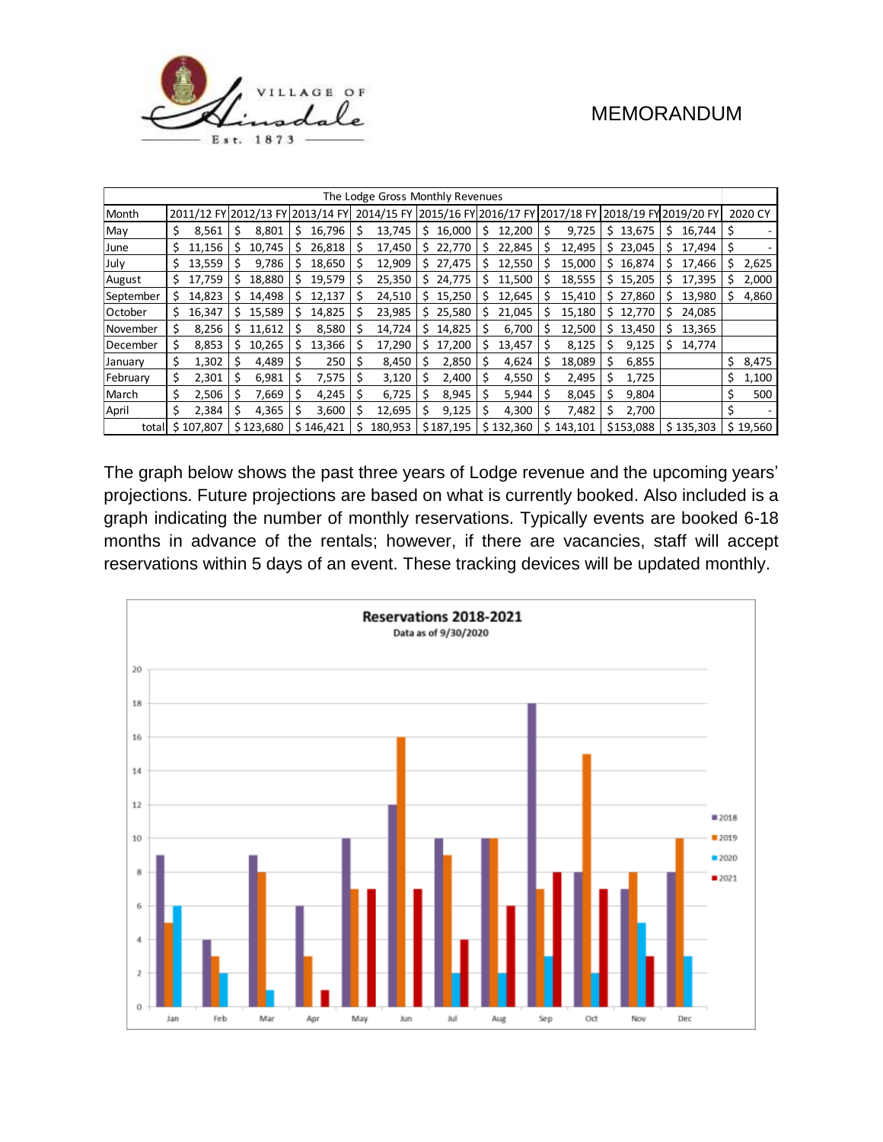

| The Lodge Gross Monthly Revenues |    |         |    |           |              |           |    |                                                                              |     |           |    |           |    |           |     |                         |    |           |    |          |
|----------------------------------|----|---------|----|-----------|--------------|-----------|----|------------------------------------------------------------------------------|-----|-----------|----|-----------|----|-----------|-----|-------------------------|----|-----------|----|----------|
| Month                            |    |         |    |           |              |           |    | 2011/12 FY 2012/13 FY 2013/14 FY 2014/15 FY 2015/16 FY 2016/17 FY 2017/18 FY |     |           |    |           |    |           |     | ' 2018/19 FY 2019/20 FY |    |           |    | 2020 CY  |
| May                              |    | 8,561   |    | 8,801     | S            | 16,796    | \$ | 13,745                                                                       | \$. | 16,000    | \$ | 12,200    | \$ | 9,725     |     | \$13,675                | \$ | 16,744    |    |          |
| June                             | S. | 11,156  |    | 10,745    |              | 26,818    | S  | 17,450                                                                       | S   | 22,770    | S  | 22,845    | S  | 12,495    |     | \$23,045                | s  | 17,494    |    |          |
| July                             | S  | 13,559  |    | 9,786     | S            | 18,650    | S  | 12,909                                                                       | S   | 27,475    | S  | 12,550    |    | 15,000    | \$. | 16,874                  | S  | 17,466    | S  | 2,625    |
| August                           | S. | 17,759  | S. | 18,880    | S            | 19,579    | S  | 25,350                                                                       | Ś.  | 24,775    | S  | 11,500    | S  | 18,555    |     | \$15,205                | S  | 17,395    | S  | 2,000    |
| September                        | s  | 14,823  | S. | 14,498    | <sub>S</sub> | 12,137    | S  | 24,510                                                                       | s   | 15,250    | s  | 12,645    | s  | 15,410    |     | \$27,860                | s  | 13,980    |    | 4,860    |
| October                          | s  | 16,347  | S  | 15,589    | S            | 14,825    | S  | 23,985                                                                       | Ś   | 25,580    | S  | 21,045    | S  | 15,180    | \$. | 12.770                  | S  | 24,085    |    |          |
| November                         | s  | 8,256   | s  | 11,612    |              | 8,580     | S  | 14,724                                                                       | s   | 14,825    | S  | 6,700     | S  | 12,500    | \$. | 13,450                  | S  | 13,365    |    |          |
| December                         | S  | 8,853   |    | 10,265    |              | 13,366    | S  | 17,290                                                                       | S   | 17,200    | Ś  | 13,457    |    | 8,125     | Ś   | 9,125                   | Ś  | 14,774    |    |          |
| January                          | \$ | 1,302   |    | 4,489     |              | 250       |    | 8,450                                                                        |     | 2,850     |    | 4,624     |    | 18,089    | S   | 6,855                   |    |           | \$ | 8,475    |
| February                         | \$ | 2,301   |    | 6,981     |              | 7,575     | S  | 3,120                                                                        |     | 2,400     | Ś  | 4,550     | S  | 2,495     | S   | 1,725                   |    |           | Ś  | 1,100    |
| March                            | \$ | 2,506   |    | 7,669     |              | 4,245     | s  | 6,725                                                                        |     | 8,945     |    | 5,944     |    | 8,045     |     | 9,804                   |    |           |    | 500      |
| April                            | Ś. | 2,384   | S  | 4,365     |              | 3,600     | S  | 12,695                                                                       | S   | 9,125     | S  | 4,300     | S  | 7,482     | s   | 2,700                   |    |           |    |          |
| total                            | Ś. | 107.807 |    | \$123,680 |              | \$146,421 |    | 180,953                                                                      |     | \$187,195 |    | \$132,360 |    | \$143,101 |     | \$153,088               |    | \$135,303 |    | \$19,560 |

The graph below shows the past three years of Lodge revenue and the upcoming years' projections. Future projections are based on what is currently booked. Also included is a graph indicating the number of monthly reservations. Typically events are booked 6-18 months in advance of the rentals; however, if there are vacancies, staff will accept reservations within 5 days of an event. These tracking devices will be updated monthly.

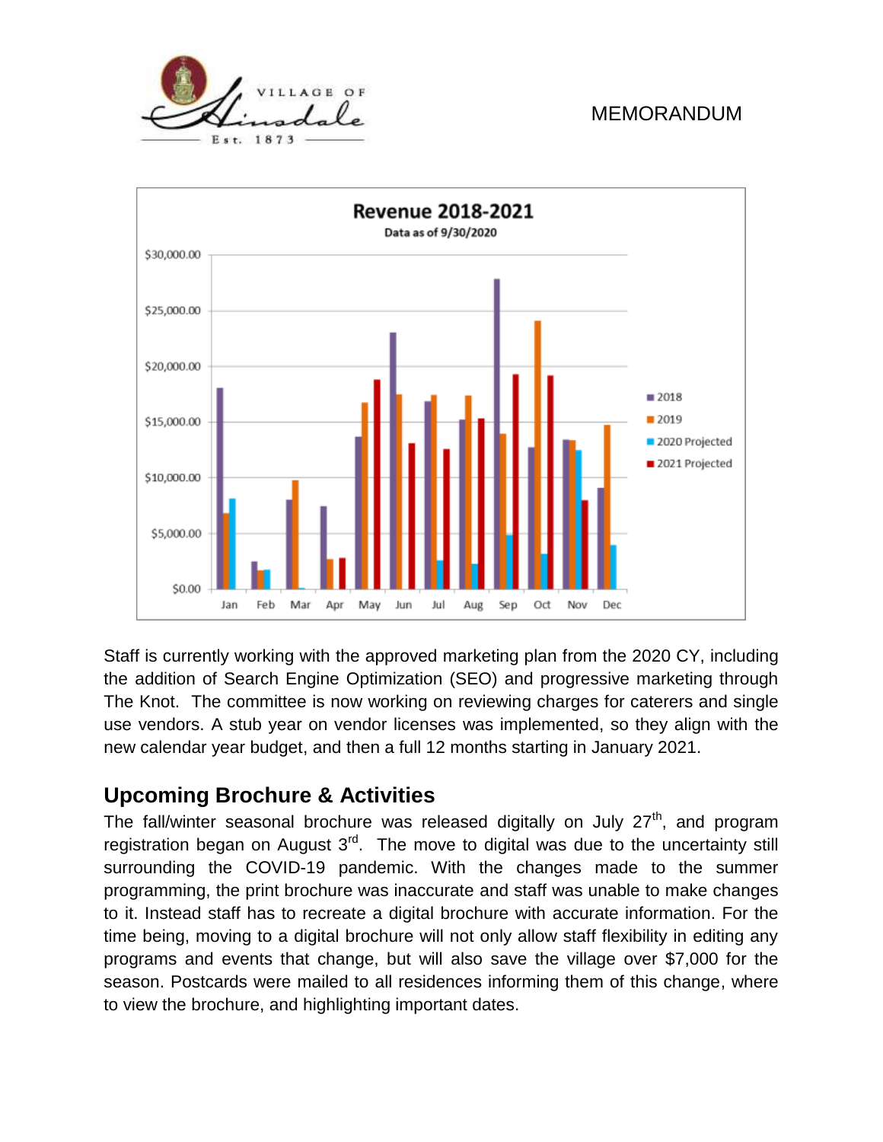



Staff is currently working with the approved marketing plan from the 2020 CY, including the addition of Search Engine Optimization (SEO) and progressive marketing through The Knot. The committee is now working on reviewing charges for caterers and single use vendors. A stub year on vendor licenses was implemented, so they align with the new calendar year budget, and then a full 12 months starting in January 2021.

# **Upcoming Brochure & Activities**

The fall/winter seasonal brochure was released digitally on July  $27<sup>th</sup>$ , and program registration began on August  $3<sup>rd</sup>$ . The move to digital was due to the uncertainty still surrounding the COVID-19 pandemic. With the changes made to the summer programming, the print brochure was inaccurate and staff was unable to make changes to it. Instead staff has to recreate a digital brochure with accurate information. For the time being, moving to a digital brochure will not only allow staff flexibility in editing any programs and events that change, but will also save the village over \$7,000 for the season. Postcards were mailed to all residences informing them of this change, where to view the brochure, and highlighting important dates.